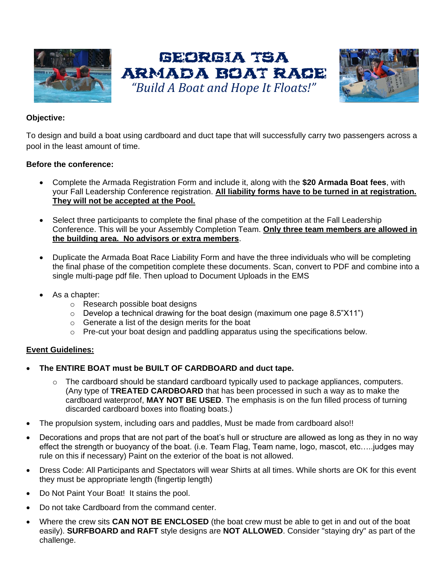

GEORGIA TOA ARMADA BOAT RACE *"Build A Boat and Hope It Floats!"*



#### **Objective:**

To design and build a boat using cardboard and duct tape that will successfully carry two passengers across a pool in the least amount of time.

#### **Before the conference:**

- Complete the Armada Registration Form and include it, along with the **\$20 Armada Boat fees**, with your Fall Leadership Conference registration. **All liability forms have to be turned in at registration. They will not be accepted at the Pool.**
- Select three participants to complete the final phase of the competition at the Fall Leadership Conference. This will be your Assembly Completion Team. **Only three team members are allowed in the building area. No advisors or extra members**.
- Duplicate the Armada Boat Race Liability Form and have the three individuals who will be completing the final phase of the competition complete these documents. Scan, convert to PDF and combine into a single multi-page pdf file. Then upload to Document Uploads in the EMS
- As a chapter:
	- o Research possible boat designs
	- $\circ$  Develop a technical drawing for the boat design (maximum one page 8.5"X11")
	- o Generate a list of the design merits for the boat
	- $\circ$  Pre-cut your boat design and paddling apparatus using the specifications below.

#### **Event Guidelines:**

- **The ENTIRE BOAT must be BUILT OF CARDBOARD and duct tape.**
	- $\circ$  The cardboard should be standard cardboard typically used to package appliances, computers. (Any type of **TREATED CARDBOARD** that has been processed in such a way as to make the cardboard waterproof, **MAY NOT BE USED**. The emphasis is on the fun filled process of turning discarded cardboard boxes into floating boats.)
- The propulsion system, including oars and paddles, Must be made from cardboard also!!
- Decorations and props that are not part of the boat's hull or structure are allowed as long as they in no way effect the strength or buoyancy of the boat. (i.e. Team Flag, Team name, logo, mascot, etc…..judges may rule on this if necessary) Paint on the exterior of the boat is not allowed.
- Dress Code: All Participants and Spectators will wear Shirts at all times. While shorts are OK for this event they must be appropriate length (fingertip length)
- Do Not Paint Your Boat! It stains the pool.
- Do not take Cardboard from the command center.
- Where the crew sits **CAN NOT BE ENCLOSED** (the boat crew must be able to get in and out of the boat easily). **SURFBOARD and RAFT** style designs are **NOT ALLOWED**. Consider "staying dry" as part of the challenge.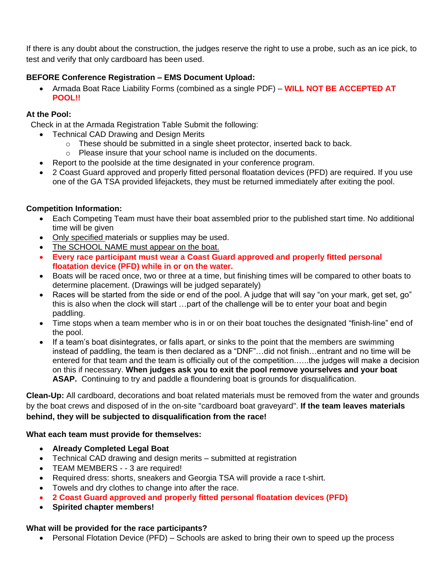If there is any doubt about the construction, the judges reserve the right to use a probe, such as an ice pick, to test and verify that only cardboard has been used.

## **BEFORE Conference Registration – EMS Document Upload:**

 Armada Boat Race Liability Forms (combined as a single PDF) – **WILL NOT BE ACCEPTED AT POOL!!**

## **At the Pool:**

Check in at the Armada Registration Table Submit the following:

- Technical CAD Drawing and Design Merits
	- $\circ$  These should be submitted in a single sheet protector, inserted back to back.
	- o Please insure that your school name is included on the documents.
- Report to the poolside at the time designated in your conference program.
- 2 Coast Guard approved and properly fitted personal floatation devices (PFD) are required. If you use one of the GA TSA provided lifejackets, they must be returned immediately after exiting the pool.

## **Competition Information:**

- Each Competing Team must have their boat assembled prior to the published start time. No additional time will be given
- Only specified materials or supplies may be used.
- The SCHOOL NAME must appear on the boat.
- **Every race participant must wear a Coast Guard approved and properly fitted personal floatation device (PFD) while in or on the water.**
- Boats will be raced once, two or three at a time, but finishing times will be compared to other boats to determine placement. (Drawings will be judged separately)
- Races will be started from the side or end of the pool. A judge that will say "on your mark, get set, go" this is also when the clock will start …part of the challenge will be to enter your boat and begin paddling.
- Time stops when a team member who is in or on their boat touches the designated "finish-line" end of the pool.
- If a team's boat disintegrates, or falls apart, or sinks to the point that the members are swimming instead of paddling, the team is then declared as a "DNF"…did not finish…entrant and no time will be entered for that team and the team is officially out of the competition.…..the judges will make a decision on this if necessary. **When judges ask you to exit the pool remove yourselves and your boat ASAP.** Continuing to try and paddle a floundering boat is grounds for disqualification.

**Clean-Up:** All cardboard, decorations and boat related materials must be removed from the water and grounds by the boat crews and disposed of in the on-site "cardboard boat graveyard". **If the team leaves materials behind, they will be subjected to disqualification from the race!**

## **What each team must provide for themselves:**

- **Already Completed Legal Boat**
- Technical CAD drawing and design merits submitted at registration
- TEAM MEMBERS - 3 are required!
- Required dress: shorts, sneakers and Georgia TSA will provide a race t-shirt.
- Towels and dry clothes to change into after the race.
- **2 Coast Guard approved and properly fitted personal floatation devices (PFD)**
- **Spirited chapter members!**

## **What will be provided for the race participants?**

• Personal Flotation Device (PFD) – Schools are asked to bring their own to speed up the process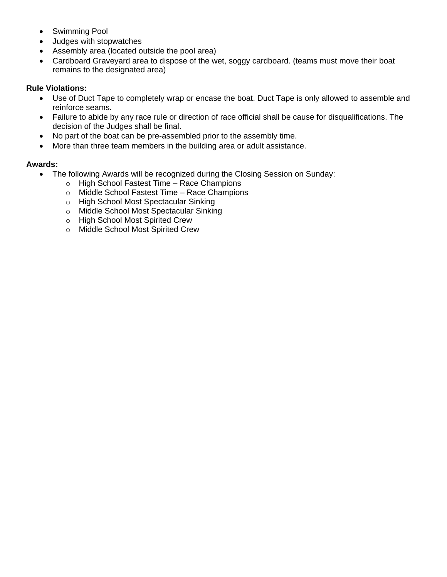- Swimming Pool
- Judges with stopwatches
- Assembly area (located outside the pool area)
- Cardboard Graveyard area to dispose of the wet, soggy cardboard. (teams must move their boat remains to the designated area)

#### **Rule Violations:**

- Use of Duct Tape to completely wrap or encase the boat. Duct Tape is only allowed to assemble and reinforce seams.
- Failure to abide by any race rule or direction of race official shall be cause for disqualifications. The decision of the Judges shall be final.
- No part of the boat can be pre-assembled prior to the assembly time.
- More than three team members in the building area or adult assistance.

#### **Awards:**

- The following Awards will be recognized during the Closing Session on Sunday:
	- o High School Fastest Time Race Champions
	- o Middle School Fastest Time Race Champions
	- o High School Most Spectacular Sinking
	- o Middle School Most Spectacular Sinking
	- o High School Most Spirited Crew
	- o Middle School Most Spirited Crew